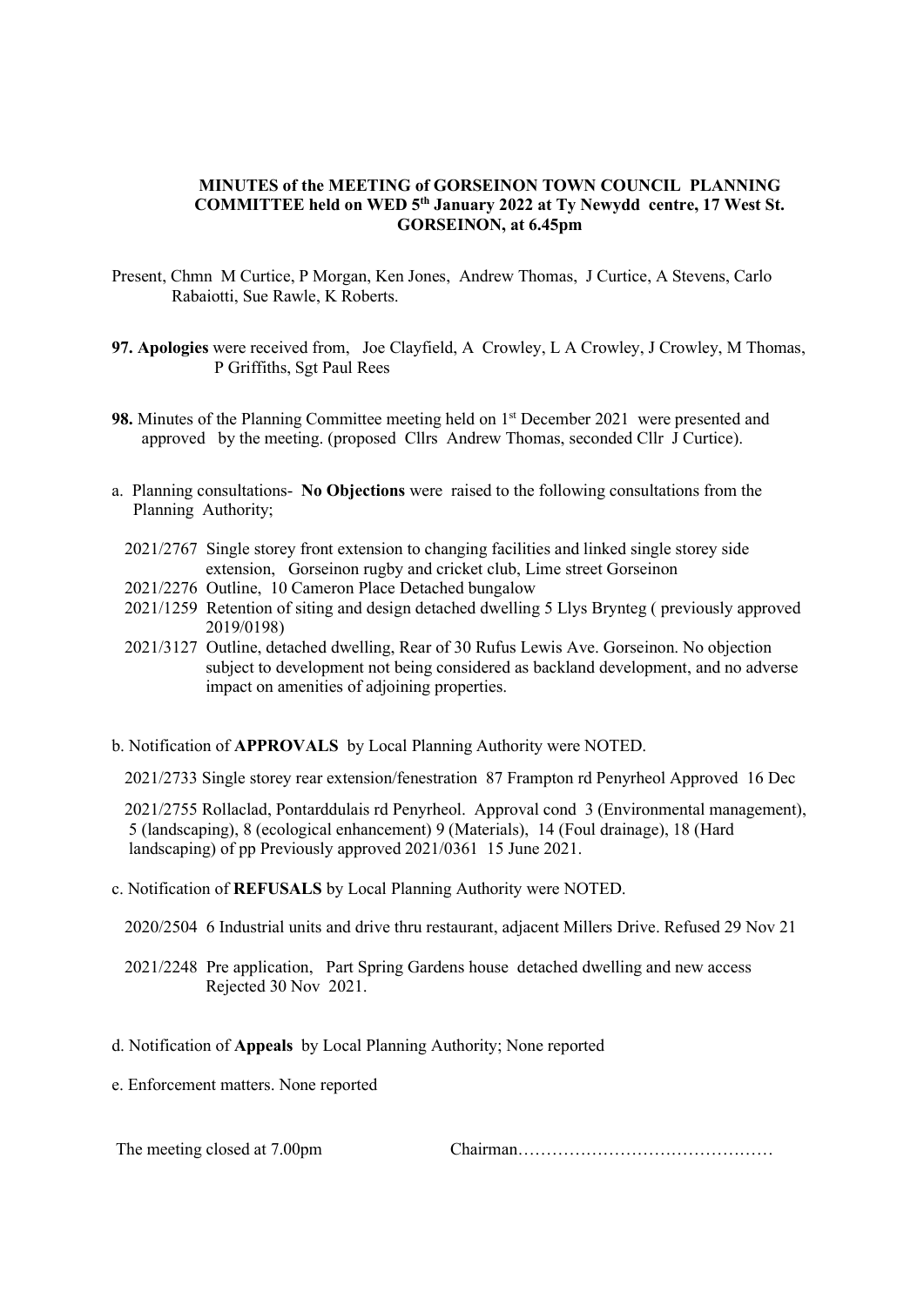## MINUTES of the MEETING of GORSEINON TOWN COUNCIL PLANNING COMMITTEE held on WED 5th January 2022 at Ty Newydd centre, 17 West St. GORSEINON, at 6.45pm

- Present, Chmn M Curtice, P Morgan, Ken Jones, Andrew Thomas, J Curtice, A Stevens, Carlo Rabaiotti, Sue Rawle, K Roberts.
- 97. Apologies were received from, Joe Clayfield, A Crowley, L A Crowley, J Crowley, M Thomas, P Griffiths, Sgt Paul Rees
- 98. Minutes of the Planning Committee meeting held on 1<sup>st</sup> December 2021 were presented and approved by the meeting. (proposed Cllrs Andrew Thomas, seconded Cllr J Curtice).
- a. Planning consultations- No Objections were raised to the following consultations from the Planning Authority;
	- 2021/2767 Single storey front extension to changing facilities and linked single storey side extension, Gorseinon rugby and cricket club, Lime street Gorseinon
	- 2021/2276 Outline, 10 Cameron Place Detached bungalow
	- 2021/1259 Retention of siting and design detached dwelling 5 Llys Brynteg ( previously approved 2019/0198)
	- 2021/3127 Outline, detached dwelling, Rear of 30 Rufus Lewis Ave. Gorseinon. No objection subject to development not being considered as backland development, and no adverse impact on amenities of adjoining properties.
- b. Notification of APPROVALS by Local Planning Authority were NOTED.

2021/2733 Single storey rear extension/fenestration 87 Frampton rd Penyrheol Approved 16 Dec

 2021/2755 Rollaclad, Pontarddulais rd Penyrheol. Approval cond 3 (Environmental management), 5 (landscaping), 8 (ecological enhancement) 9 (Materials), 14 (Foul drainage), 18 (Hard landscaping) of pp Previously approved 2021/0361 15 June 2021.

- c. Notification of REFUSALS by Local Planning Authority were NOTED.
	- 2020/2504 6 Industrial units and drive thru restaurant, adjacent Millers Drive. Refused 29 Nov 21
	- 2021/2248 Pre application, Part Spring Gardens house detached dwelling and new access Rejected 30 Nov 2021.
- d. Notification of Appeals by Local Planning Authority; None reported
- e. Enforcement matters. None reported

The meeting closed at 7.00pm Chairman………………………………………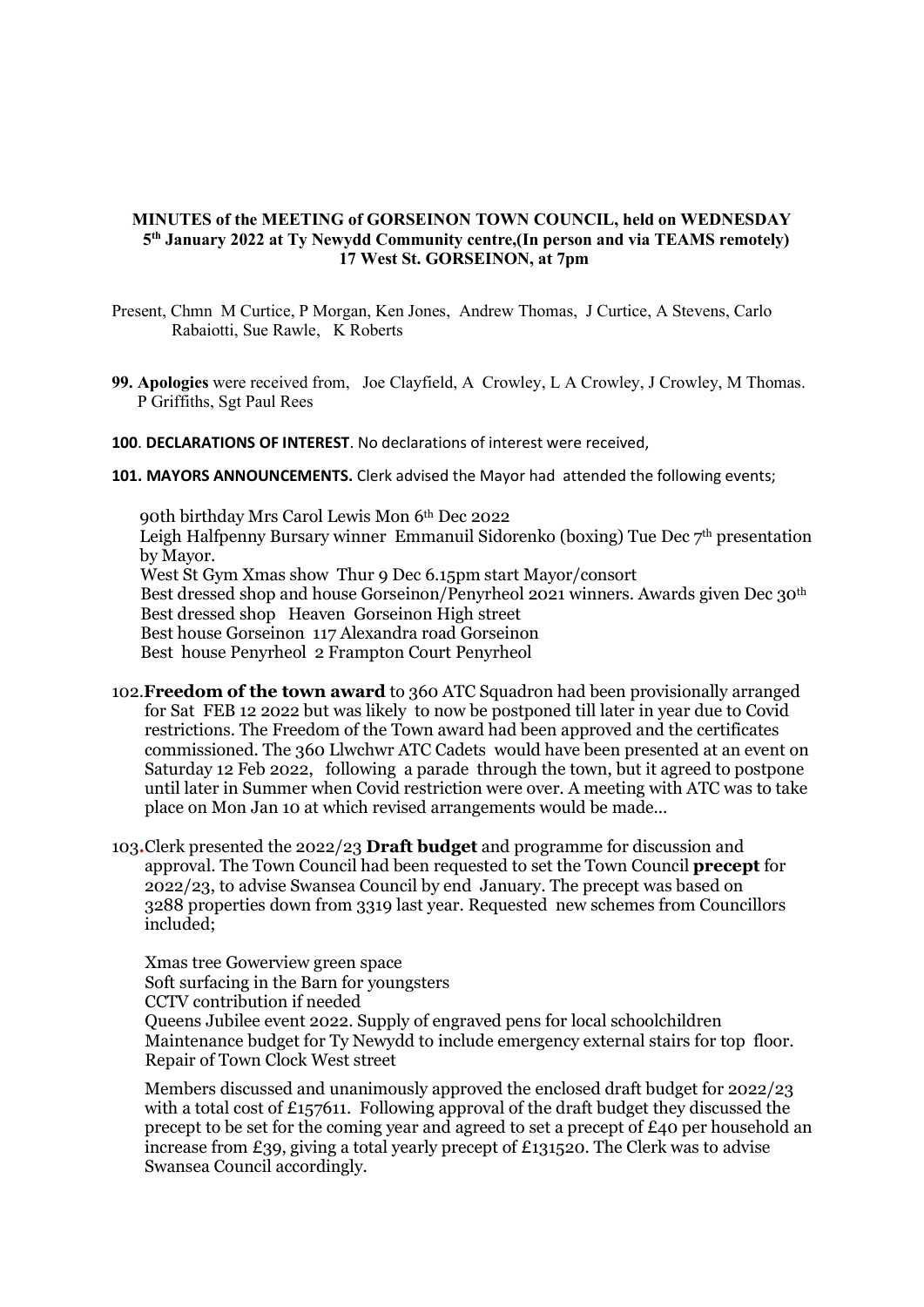## MINUTES of the MEETING of GORSEINON TOWN COUNCIL, held on WEDNESDAY 5th January 2022 at Ty Newydd Community centre,(In person and via TEAMS remotely) 17 West St. GORSEINON, at 7pm

- Present, Chmn M Curtice, P Morgan, Ken Jones, Andrew Thomas, J Curtice, A Stevens, Carlo Rabaiotti, Sue Rawle, K Roberts
- 99. Apologies were received from, Joe Clayfield, A Crowley, L A Crowley, J Crowley, M Thomas. P Griffiths, Sgt Paul Rees
- 100. DECLARATIONS OF INTEREST. No declarations of interest were received,
- 101. MAYORS ANNOUNCEMENTS. Clerk advised the Mayor had attended the following events;

90th birthday Mrs Carol Lewis Mon 6th Dec 2022 Leigh Halfpenny Bursary winner Emmanuil Sidorenko (boxing) Tue Dec 7<sup>th</sup> presentation by Mayor. West St Gym Xmas show Thur 9 Dec 6.15pm start Mayor/consort Best dressed shop and house Gorseinon/Penyrheol 2021 winners. Awards given Dec 30th Best dressed shop Heaven Gorseinon High street Best house Gorseinon 117 Alexandra road Gorseinon Best house Penyrheol 2 Frampton Court Penyrheol

- 102. **Freedom of the town award** to 360 ATC Squadron had been provisionally arranged for Sat FEB 12 2022 but was likely to now be postponed till later in year due to Covid restrictions. The Freedom of the Town award had been approved and the certificates commissioned. The 360 Llwchwr ATC Cadets would have been presented at an event on Saturday 12 Feb 2022, following a parade through the town, but it agreed to postpone until later in Summer when Covid restriction were over. A meeting with ATC was to take place on Mon Jan 10 at which revised arrangements would be made...
- 103.Clerk presented the 2022/23 Draft budget and programme for discussion and approval. The Town Council had been requested to set the Town Council precept for 2022/23, to advise Swansea Council by end January. The precept was based on 3288 properties down from 3319 last year. Requested new schemes from Councillors included;

 Xmas tree Gowerview green space Soft surfacing in the Barn for youngsters CCTV contribution if needed Queens Jubilee event 2022. Supply of engraved pens for local schoolchildren Maintenance budget for Ty Newydd to include emergency external stairs for top floor. Repair of Town Clock West street

 Members discussed and unanimously approved the enclosed draft budget for 2022/23 with a total cost of £157611. Following approval of the draft budget they discussed the precept to be set for the coming year and agreed to set a precept of £40 per household an increase from £39, giving a total yearly precept of £131520. The Clerk was to advise Swansea Council accordingly.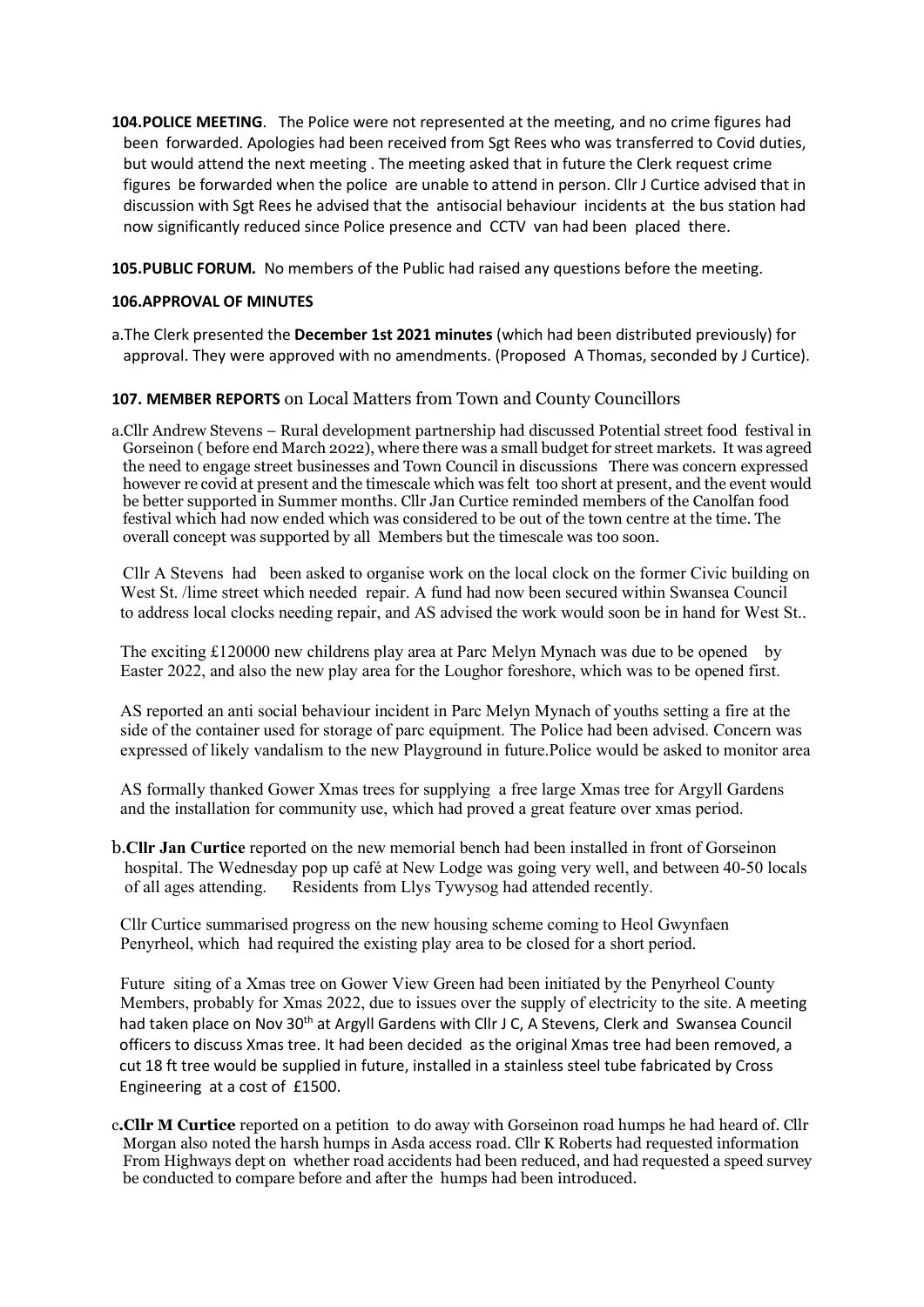104. POLICE MEETING. The Police were not represented at the meeting, and no crime figures had been forwarded. Apologies had been received from Sgt Rees who was transferred to Covid duties, but would attend the next meeting . The meeting asked that in future the Clerk request crime figures be forwarded when the police are unable to attend in person. Cllr J Curtice advised that in discussion with Sgt Rees he advised that the antisocial behaviour incidents at the bus station had now significantly reduced since Police presence and CCTV van had been placed there.

105.PUBLIC FORUM. No members of the Public had raised any questions before the meeting.

## 106.APPROVAL OF MINUTES

a.The Clerk presented the December 1st 2021 minutes (which had been distributed previously) for approval. They were approved with no amendments. (Proposed A Thomas, seconded by J Curtice).

# 107. MEMBER REPORTS on Local Matters from Town and County Councillors

a.Cllr Andrew Stevens – Rural development partnership had discussed Potential street food festival in Gorseinon ( before end March 2022), where there was a small budget for street markets. It was agreed the need to engage street businesses and Town Council in discussions There was concern expressed however re covid at present and the timescale which was felt too short at present, and the event would be better supported in Summer months. Cllr Jan Curtice reminded members of the Canolfan food festival which had now ended which was considered to be out of the town centre at the time. The overall concept was supported by all Members but the timescale was too soon.

 Cllr A Stevens had been asked to organise work on the local clock on the former Civic building on West St. /lime street which needed repair. A fund had now been secured within Swansea Council to address local clocks needing repair, and AS advised the work would soon be in hand for West St..

 The exciting £120000 new childrens play area at Parc Melyn Mynach was due to be opened by Easter 2022, and also the new play area for the Loughor foreshore, which was to be opened first.

 AS reported an anti social behaviour incident in Parc Melyn Mynach of youths setting a fire at the side of the container used for storage of parc equipment. The Police had been advised. Concern was expressed of likely vandalism to the new Playground in future.Police would be asked to monitor area

 AS formally thanked Gower Xmas trees for supplying a free large Xmas tree for Argyll Gardens and the installation for community use, which had proved a great feature over xmas period.

b.Cllr Jan Curtice reported on the new memorial bench had been installed in front of Gorseinon hospital. The Wednesday pop up café at New Lodge was going very well, and between 40-50 locals of all ages attending. Residents from Llys Tywysog had attended recently.

 Cllr Curtice summarised progress on the new housing scheme coming to Heol Gwynfaen Penyrheol, which had required the existing play area to be closed for a short period.

 Future siting of a Xmas tree on Gower View Green had been initiated by the Penyrheol County Members, probably for Xmas 2022, due to issues over the supply of electricity to the site. A meeting had taken place on Nov 30<sup>th</sup> at Argyll Gardens with Cllr J C, A Stevens, Clerk and Swansea Council officers to discuss Xmas tree. It had been decided as the original Xmas tree had been removed, a cut 18 ft tree would be supplied in future, installed in a stainless steel tube fabricated by Cross Engineering at a cost of £1500.

c.Cllr M Curtice reported on a petition to do away with Gorseinon road humps he had heard of. Cllr Morgan also noted the harsh humps in Asda access road. Cllr K Roberts had requested information From Highways dept on whether road accidents had been reduced, and had requested a speed survey be conducted to compare before and after the humps had been introduced.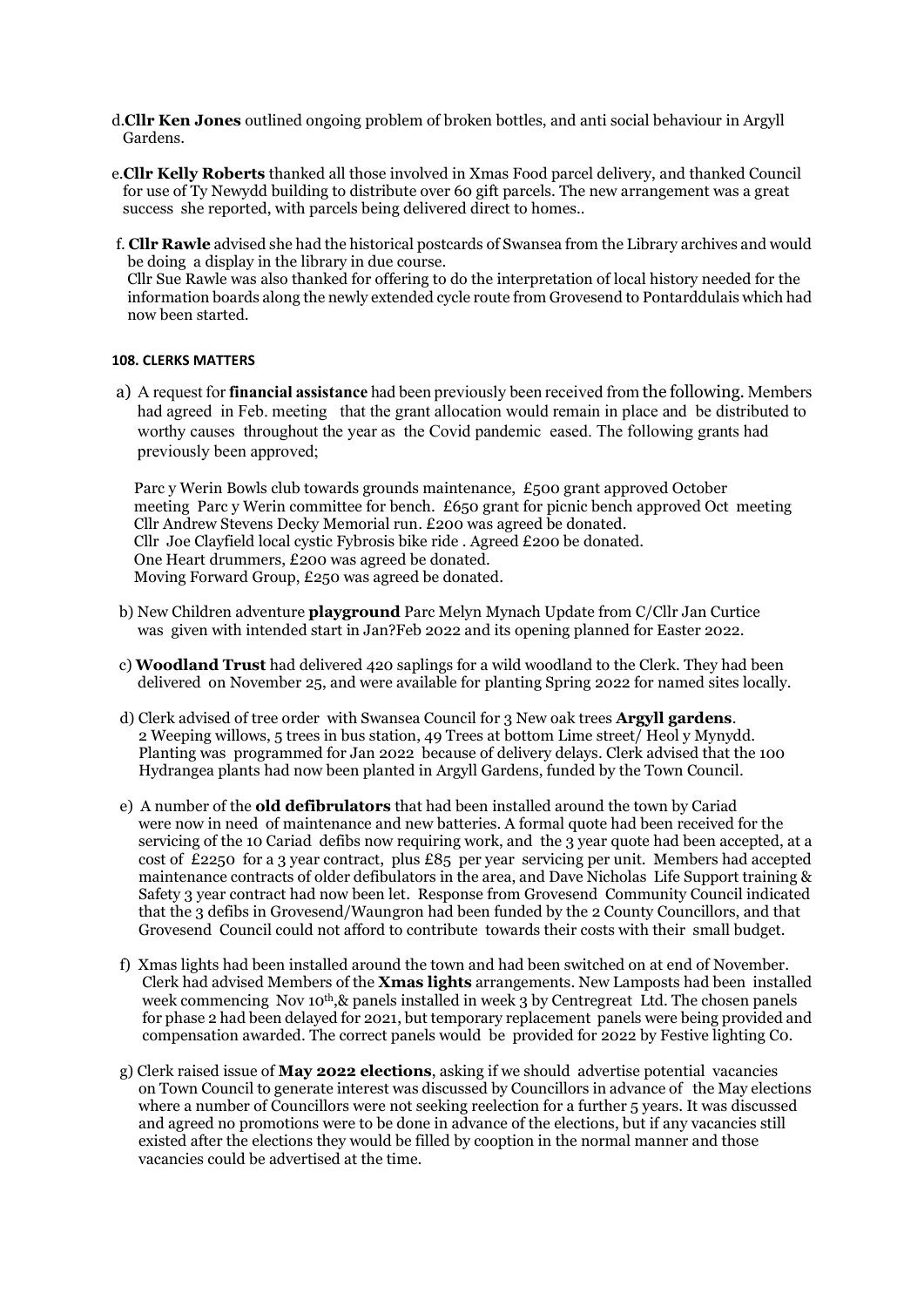- d.Cllr Ken Jones outlined ongoing problem of broken bottles, and anti social behaviour in Argyll Gardens.
- e.Cllr Kelly Roberts thanked all those involved in Xmas Food parcel delivery, and thanked Council for use of Ty Newydd building to distribute over 60 gift parcels. The new arrangement was a great success she reported, with parcels being delivered direct to homes..
- f. Cllr Rawle advised she had the historical postcards of Swansea from the Library archives and would be doing a display in the library in due course. Cllr Sue Rawle was also thanked for offering to do the interpretation of local history needed for the information boards along the newly extended cycle route from Grovesend to Pontarddulais which had

#### 108. CLERKS MATTERS

now been started.

a) A request for financial assistance had been previously been received from the following. Members had agreed in Feb. meeting that the grant allocation would remain in place and be distributed to worthy causes throughout the year as the Covid pandemic eased. The following grants had previously been approved;

 Parc y Werin Bowls club towards grounds maintenance, £500 grant approved October meeting Parc y Werin committee for bench. £650 grant for picnic bench approved Oct meeting Cllr Andrew Stevens Decky Memorial run. £200 was agreed be donated. Cllr Joe Clayfield local cystic Fybrosis bike ride . Agreed £200 be donated. One Heart drummers, £200 was agreed be donated. Moving Forward Group, £250 was agreed be donated.

- b) New Children adventure playground Parc Melyn Mynach Update from C/Cllr Jan Curtice was given with intended start in Jan?Feb 2022 and its opening planned for Easter 2022.
- c) Woodland Trust had delivered 420 saplings for a wild woodland to the Clerk. They had been delivered on November 25, and were available for planting Spring 2022 for named sites locally.
- d) Clerk advised of tree order with Swansea Council for 3 New oak trees **Argyll gardens.**  2 Weeping willows, 5 trees in bus station, 49 Trees at bottom Lime street/ Heol y Mynydd. Planting was programmed for Jan 2022 because of delivery delays. Clerk advised that the 100 Hydrangea plants had now been planted in Argyll Gardens, funded by the Town Council.
- e) A number of the old defibrulators that had been installed around the town by Cariad were now in need of maintenance and new batteries. A formal quote had been received for the servicing of the 10 Cariad defibs now requiring work, and the 3 year quote had been accepted, at a cost of £2250 for a 3 year contract, plus £85 per year servicing per unit. Members had accepted maintenance contracts of older defibulators in the area, and Dave Nicholas Life Support training & Safety 3 year contract had now been let. Response from Grovesend Community Council indicated that the 3 defibs in Grovesend/Waungron had been funded by the 2 County Councillors, and that Grovesend Council could not afford to contribute towards their costs with their small budget.
- f) Xmas lights had been installed around the town and had been switched on at end of November. Clerk had advised Members of the **Xmas lights** arrangements. New Lamposts had been installed week commencing Nov 10<sup>th</sup>, & panels installed in week 3 by Centregreat Ltd. The chosen panels for phase 2 had been delayed for 2021, but temporary replacement panels were being provided and compensation awarded. The correct panels would be provided for 2022 by Festive lighting C0.
- g) Clerk raised issue of May 2022 elections, asking if we should advertise potential vacancies on Town Council to generate interest was discussed by Councillors in advance of the May elections where a number of Councillors were not seeking reelection for a further 5 years. It was discussed and agreed no promotions were to be done in advance of the elections, but if any vacancies still existed after the elections they would be filled by cooption in the normal manner and those vacancies could be advertised at the time.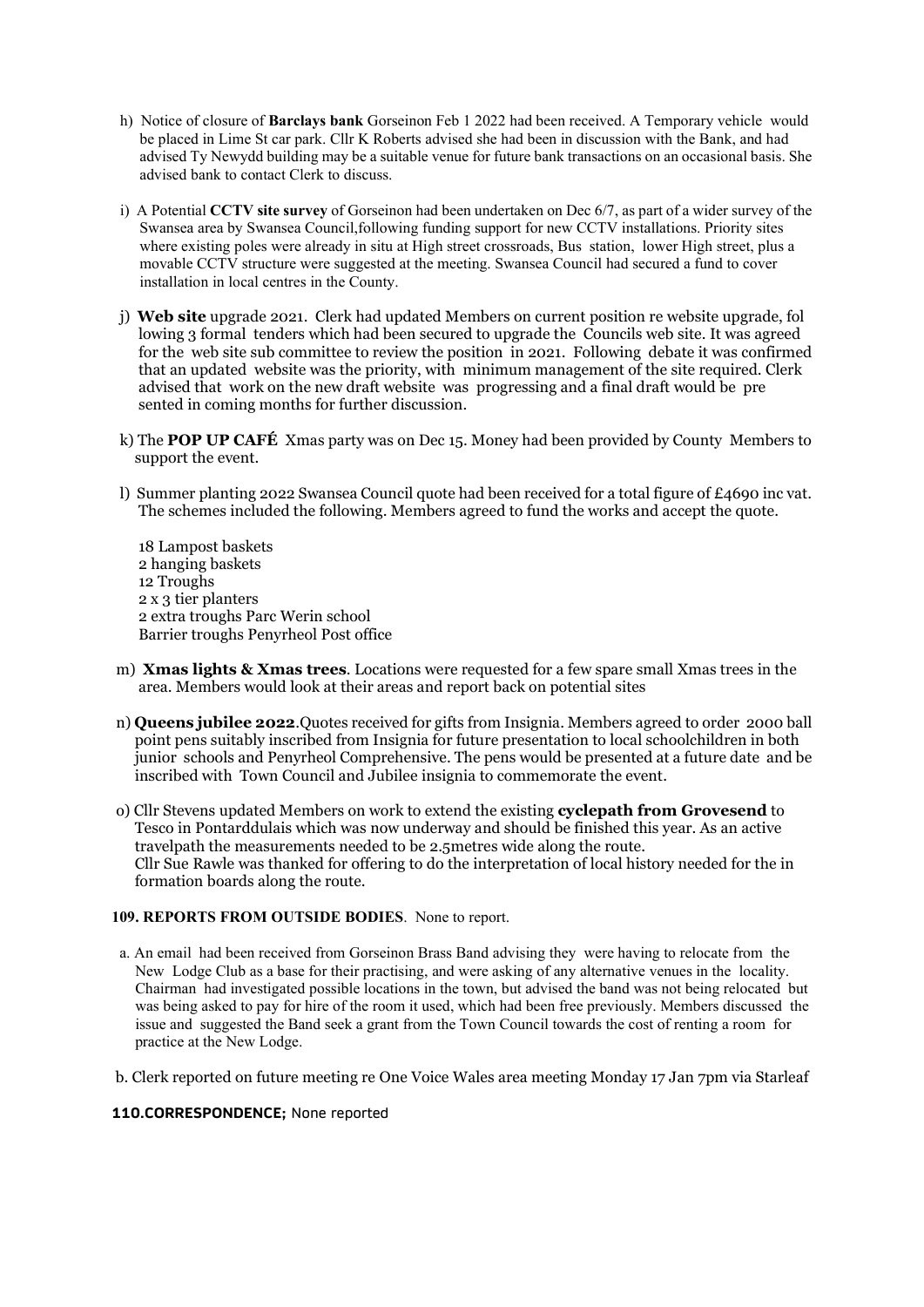- h) Notice of closure of Barclays bank Gorseinon Feb 1 2022 had been received. A Temporary vehicle would be placed in Lime St car park. Cllr K Roberts advised she had been in discussion with the Bank, and had advised Ty Newydd building may be a suitable venue for future bank transactions on an occasional basis. She advised bank to contact Clerk to discuss.
- i) A Potential CCTV site survey of Gorseinon had been undertaken on Dec 6/7, as part of a wider survey of the Swansea area by Swansea Council,following funding support for new CCTV installations. Priority sites where existing poles were already in situ at High street crossroads, Bus station, lower High street, plus a movable CCTV structure were suggested at the meeting. Swansea Council had secured a fund to cover installation in local centres in the County.
- j) Web site upgrade 2021. Clerk had updated Members on current position re website upgrade, fol lowing 3 formal tenders which had been secured to upgrade the Councils web site. It was agreed for the web site sub committee to review the position in 2021. Following debate it was confirmed that an updated website was the priority, with minimum management of the site required. Clerk advised that work on the new draft website was progressing and a final draft would be pre sented in coming months for further discussion.
- k) The **POP UP CAFÉ** Xmas party was on Dec 15. Money had been provided by County Members to support the event.
- l) Summer planting 2022 Swansea Council quote had been received for a total figure of £4690 inc vat. The schemes included the following. Members agreed to fund the works and accept the quote.

 18 Lampost baskets 2 hanging baskets 12 Troughs 2 x 3 tier planters 2 extra troughs Parc Werin school Barrier troughs Penyrheol Post office

- m) Xmas lights & Xmas trees. Locations were requested for a few spare small Xmas trees in the area. Members would look at their areas and report back on potential sites
- n) Queens jubilee 2022.Quotes received for gifts from Insignia. Members agreed to order 2000 ball point pens suitably inscribed from Insignia for future presentation to local schoolchildren in both junior schools and Penyrheol Comprehensive. The pens would be presented at a future date and be inscribed with Town Council and Jubilee insignia to commemorate the event.
- o) Cllr Stevens updated Members on work to extend the existing cyclepath from Grovesend to Tesco in Pontarddulais which was now underway and should be finished this year. As an active travelpath the measurements needed to be 2.5metres wide along the route. Cllr Sue Rawle was thanked for offering to do the interpretation of local history needed for the in formation boards along the route.

### 109. REPORTS FROM OUTSIDE BODIES. None to report.

- a. An email had been received from Gorseinon Brass Band advising they were having to relocate from the New Lodge Club as a base for their practising, and were asking of any alternative venues in the locality. Chairman had investigated possible locations in the town, but advised the band was not being relocated but was being asked to pay for hire of the room it used, which had been free previously. Members discussed the issue and suggested the Band seek a grant from the Town Council towards the cost of renting a room for practice at the New Lodge.
- b. Clerk reported on future meeting re One Voice Wales area meeting Monday 17 Jan 7pm via Starleaf

#### 110.CORRESPONDENCE; None reported